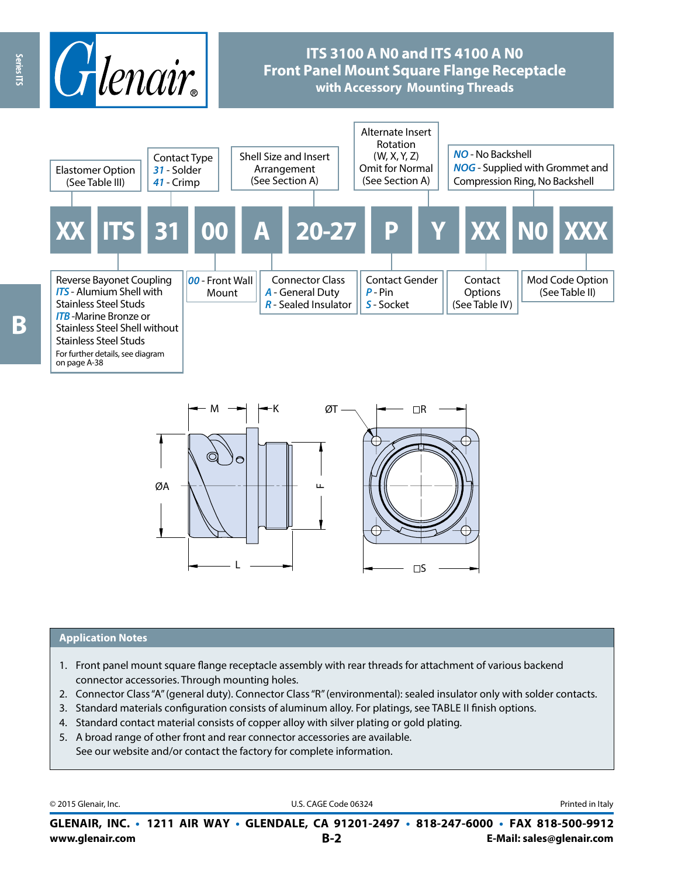

# **ITS 3100 A N0 and ITS 4100 A N0 Front Panel Mount Square Flange Receptacle with Accessory Mounting Threads**



 $M \rightarrow H + K$   $\varnothing$ T $\longrightarrow$   $\rightarrow$   $\Box$ R  $\square$ ØA <sup>F</sup> L

#### **Application Notes**

- 1. Front panel mount square flange receptacle assembly with rear threads for attachment of various backend connector accessories. Through mounting holes.
- 2. Connector Class "A" (general duty). Connector Class "R" (environmental): sealed insulator only with solder contacts.
- 3. Standard materials configuration consists of aluminum alloy. For platings, see TABLE II finish options.
- 4. Standard contact material consists of copper alloy with silver plating or gold plating.
- 5. A broad range of other front and rear connector accessories are available. See our website and/or contact the factory for complete information.

© 2015 Glenair, Inc. **Disk and Servert Code Code Code Code 06324** D.S. CAGE Code 06324 **Printed in Italy** 

**www.glenair.com B-2 E-Mail: sales@glenair.com GLENAIR, INC. • 1211 AIR WAY • GLENDALE, CA 91201-2497 • 818-247-6000 • FAX 818-500-9912**

Series ITS

on page A-38